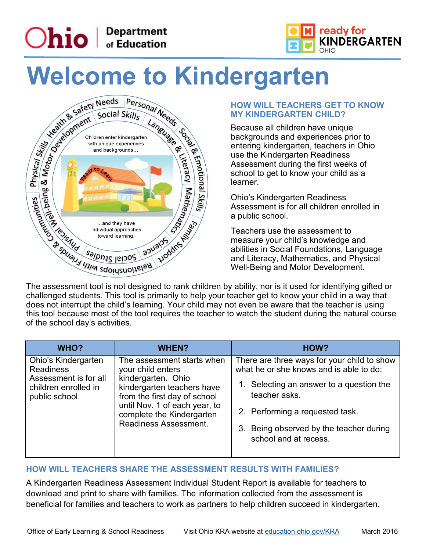





## **HOW WILL TEACHERS GET TO KNOW MY KINDERGARTEN CHILD?**

Because all children have unique backgrounds and experiences prior to entering kindergarten, teachers in Ohio use the Kindergarten Readiness Assessment during the first weeks of school to get to know your child as a learner.

Ohio's Kindergarten Readiness Assessment is for all children enrolled in a public school.

Teachers use the assessment to measure your child's knowledge and abilities in Social Foundations, Language and Literacy, Mathematics, and Physical Well-Being and Motor Development.

challenged students. This tool is primarily to help your teacher get to know your child in a way that does not interrupt the child's learning. Your child may not even be aware that the teacher is using this tool because most of the tool requires the teacher to watch the student during the natural course of the school day's activities.

| WHO?                                                                                                       | <b>WHEN?</b>                                                                                                                                                                                                               | HOW?                                                                                                                                                                                                                                                       |
|------------------------------------------------------------------------------------------------------------|----------------------------------------------------------------------------------------------------------------------------------------------------------------------------------------------------------------------------|------------------------------------------------------------------------------------------------------------------------------------------------------------------------------------------------------------------------------------------------------------|
| Ohio's Kindergarten<br><b>Readiness</b><br>Assessment is for all<br>children enrolled in<br>public school. | The assessment starts when<br>your child enters<br>kindergarten. Ohio<br>kindergarten teachers have<br>from the first day of school<br>until Nov. 1 of each year, to<br>complete the Kindergarten<br>Readiness Assessment. | There are three ways for your child to show<br>what he or she knows and is able to do:<br>1. Selecting an answer to a question the<br>teacher asks.<br>2. Performing a requested task.<br>3. Being observed by the teacher during<br>school and at recess. |

# **HOW WILL TEACHERS SHARE THE ASSESSMENT RESULTS WITH FAMILIES?**

A Kindergarten Readiness Assessment Individual Student Report is available for teachers to download and print to share with families. The information collected from the assessment is beneficial for families and teachers to work as partners to help children succeed in kindergarten.